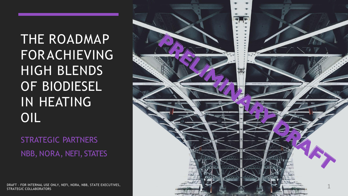THE ROADMAP FORACHIEVING HIGH BLENDS OF BIODIESEL IN HEATING OIL

STRATEGIC PARTNERS NBB, NORA, NEFI, STATES

DRAFT - FOR INTERNAL USE ONLY, NEFI, NORA, NBB, STATE EXECUTIVES, STRATEGIC COLLABORATORS

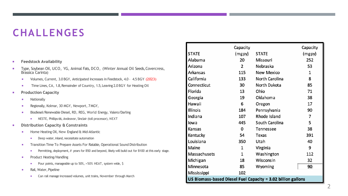## **CHALLENGES**

#### **Feedstock Availability**

- Type, Soybean Oil, UCO, YG, Animal Fats, DCO, (Winter Annual Oil Seeds, Covercress, Brassica Carinta)
	- Volumes, Current, 3.0 BGY, Anticipated Increases in Feedstock, 4.0 4.5 BGY (2023)
	- Time Lines, CA, 1.8, Remainder of Country, 1.5, Leaving 2.0 BGY for Heating Oil
- **Production Capacity** 
	- **Nationally**
	- **Regionally, Kolmar, 30 MGY, Newport, 7 MGY,**
	- **Biodiesel/Renewable Diesel, RD, REG, World Energy, Valero/Darling** 
		- NESTE, Phillips 66, Andeavor, Sinclair (toll processor), NEXT
- **Distribution Capacity & Constraints**
	- **BEAD FRAGGER HEALTER IS A MISSIGN EXECUTE:** Home Heating Oil, New England & Mid-Atlantic
		- Deep water, inland, necessitate automation
	- **Transition Time To Prepare Assets For Ratable, Operational Sound Distribution** 
		- **Permitting, deployment, # years for B50 and beyond, likely will build out for B100 at this early stage.**
	- **Product Heating/Handling** 
		- Pour points, manageable up to 50%, >50% HEAT, system wide, \$
	- **Rail, Water, Pipeline** 
		- **EXEC** Can rail manage increased volumes, unit trains, November through March

|                                                              | Capacity       |                   | Capacity |  |  |  |  |
|--------------------------------------------------------------|----------------|-------------------|----------|--|--|--|--|
| <b>STATE</b>                                                 | (mgpy)         | <b>STATE</b>      | (mgpy)   |  |  |  |  |
| Alabama                                                      | 20             | Missouri          | 252      |  |  |  |  |
| Arizona                                                      | $\overline{2}$ | Nebraska          | 53       |  |  |  |  |
| Arkansas                                                     | 115            | <b>New Mexico</b> | 1        |  |  |  |  |
| California                                                   | 133            | North Carolina    | 8        |  |  |  |  |
| Connecticut                                                  | 30             | North Dakota      | 85       |  |  |  |  |
| Florida                                                      | 13             | Ohio              | 71       |  |  |  |  |
| Georgia                                                      | 19             | Oklahoma          | 38       |  |  |  |  |
| Hawaii                                                       | 6              | Oregon            | 17       |  |  |  |  |
| <b>Illinois</b>                                              | 184            | Pennsylvania      | 90       |  |  |  |  |
| Indiana                                                      | 107            | Rhode Island      | 7        |  |  |  |  |
| lowa                                                         | 445            | South Carolina    | 5        |  |  |  |  |
| Kansas                                                       | 0              | <b>Tennessee</b>  | 38       |  |  |  |  |
| Kentucky                                                     | 54             | Texas             | 391      |  |  |  |  |
| Louisiana                                                    | 350            | Utah              | 40       |  |  |  |  |
| Maine                                                        | 1              | Virginia          | 9        |  |  |  |  |
| Massachusets                                                 | $\mathbf{1}$   | Washington        | 112      |  |  |  |  |
| Michigan                                                     | 18             | Wisconsin         | 32       |  |  |  |  |
| Minnesota                                                    | 85             | Wyoming           | 90       |  |  |  |  |
| Mississippi                                                  | 102            |                   |          |  |  |  |  |
| US Biomass-based Diesel Fuel Capacity = 3.02 billion gallons |                |                   |          |  |  |  |  |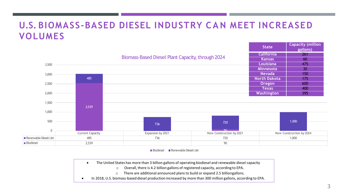#### **U.S. BIOMASS-BASED DIESEL INDUSTRY C A N MEET INCREASED VOLUMES**

|                      |                         |                                                          |                          | $rac{1}{2}$         | gallons)                 |
|----------------------|-------------------------|----------------------------------------------------------|--------------------------|---------------------|--------------------------|
|                      |                         |                                                          | <b>California</b>        | <b>261</b>          |                          |
|                      |                         | <b>Biomass-Based Diesel Plant Capacity, through 2024</b> |                          |                     | 60                       |
| 3,500                |                         |                                                          |                          | <b>Louisiana</b>    | 475                      |
|                      |                         |                                                          |                          | Minnesota           | 30 <sup>°</sup>          |
| 3,000                |                         |                                                          |                          | <b>Nevada</b>       | 150                      |
|                      | 485                     |                                                          |                          | <b>North Dakota</b> | 175                      |
| 2,500                |                         |                                                          |                          | Oregon              | 600                      |
|                      |                         |                                                          |                          | <b>Texas</b>        | 400                      |
| 2,000                |                         |                                                          |                          | Washington          | 395                      |
| 1,500                | 2,539                   |                                                          |                          |                     |                          |
| 1,000                |                         |                                                          |                          |                     |                          |
| 500                  |                         | 736                                                      | 720                      |                     | 1,000                    |
| $\mathbf 0$          |                         |                                                          | 90                       |                     |                          |
|                      | <b>Current Capacity</b> | Expansion by 2021                                        | New Construction by 2021 |                     | New Construction by 2024 |
| Renewable Diesel/Jet | 485                     | 736                                                      | 720                      |                     | 1,000                    |
| Biodiesel            | 2,539                   |                                                          | 90                       |                     |                          |

■ Biodiesel ■ Renewable Diesel/Jet

- The United States has more than 3 billion gallons of operating biodiesel and renewable diesel capacity
	- o Overall, there is 4.2 billion gallons of registered capacity, according to EPA.
	- o There are additional announced plans to build or expand 2.5 billiongallons.
- In 2018, U.S. biomass-based diesel production increased by more than 300 million gallons, according to EPA.

**State Capacity (million**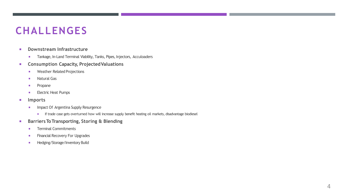#### **CHALLENGES**

- **Downstream Infrastructure**
	- **Tankage, In-Land Terminal Viability, Tanks, Pipes, Injectors, Acculoaders**
- **Consumption Capacity, ProjectedValuations**
	- **Neather Related Projections**
	- **Natural Gas**
	- **Propane**
	- **Electric Heat Pumps**
- **Imports**
	- **Impact Of Argentina Supply Resurgence** 
		- **If trade case gets overturned how will increase supply benefit heating oil markets, disadvantage biodiesel**
- **BarriersToTransporting, Storing & Blending**
	- **Terminal Commitments**
	- **Financial Recovery For Upgrades**
	- **Hedging/Storage/Inventory Build**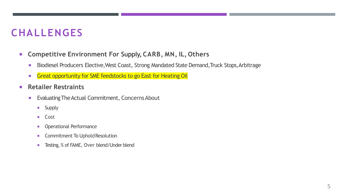### **CHALLENGES**

- **Competitive Environment For Supply, CARB, MN, IL, Others**
	- **Biodiesel Producers Elective, West Coast, Strong Mandated State Demand, Truck Stops, Arbitrage**
	- **Great opportunity for SME feedstocks to go East for Heating Oil**
- **Retailer Restraints**
	- **Evaluating The Actual Commitment, Concerns About** 
		- **Supply**
		- **Cost**
		- **Operational Performance**
		- **EXECOMMITMENT To Uphold Resolution**
		- **Testing, % of FAME, Over blend/Under blend**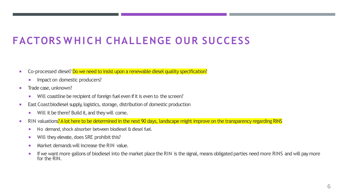# **FACTORS W H I C H CHALLENGE OUR SUCCESS**

- Co-processed diesel? Do we need to insist upon a renewable diesel quality specification?
	- **IMPACT ON DIMENSICAL PRODUCERS?**
- **Trade case, unknown?** 
	- Will coastline be recipient of foreign fuel even if it is even to the screen?
- **East Coast biodiesel supply, logistics, storage, distribution of domestic production** 
	- **Will it be there? Build it, and they will come.**
- RIN valuations? A lot here to be determined in the next 90 days, landscape might improve on the transparency regarding RINS
	- No demand, shock absorber between biodiesel & diesel fuel.
	- **Will they elevate, does SRE prohibit this?**
	- **Market demands will increase the RIN value.**
	- **If we want more gallons of biodiesel into the market place the RIN is the signal, means obligated parties need more RINS and will pay more** for the RIN.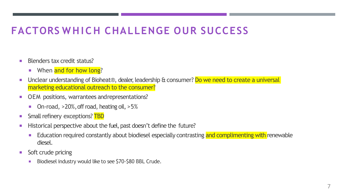## **FACTORS W H I C H CHALLENGE OUR SUCCESS**

- Blenders tax credit status?
	- **When and for how long?**
- Unclear understanding of Bioheat®, dealer, leadership & consumer? Do we need to create a universal marketing educational outreach to the consumer?
- **DEM** positions, warrantees and representations?
	- On-road, >20%, off road, heating oil, >5%
- **Small refinery exceptions? TBD**
- Historical perspective about the fuel, past doesn't define the future?
	- **Education required constantly about biodiesel especially contrasting and complimenting with renewable** diesel.
- Soft crude pricing
	- Biodiesel industry would like to see \$70-\$80 BBL Crude.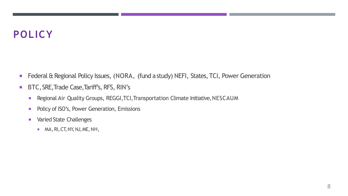## **POLICY**

- **Federal & Regional Policy Issues, (NORA, (fund a study) NEFI, States, TCI, Power Generation**
- **BTC, SRE, Trade Case, Tariff's, RFS, RIN's** 
	- **Regional Air Quality Groups, REGGI, TCI, Transportation Climate Initiative, NESCAUM**
	- **Policy of ISO's, Power Generation, Emissions**
	- **Naried State Challenges** 
		- $M$ MA, RI, CT, NY, NJ, ME, NH,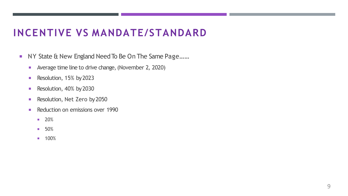#### **INCENTIVE VS MANDATE/STANDARD**

- NY State & New England Need To Be On The Same Page......
	- **Average time line to drive change, (November 2, 2020)**
	- Resolution, 15% by 2023
	- Resolution, 40% by 2030
	- Resolution, Net Zero by 2050
	- Reduction on emissions over 1990
		- **20%**
		- $-50%$
		- **100%**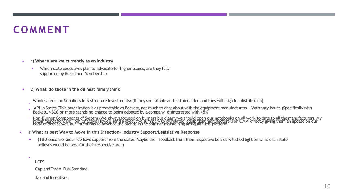# **COMMENT**

- 1) **Where are we currently as an industry**
	- Which state executives plan to advocate for higher blends, are they fully supported by Board and Membership
- 2) **What do those in the oil heat family think**

Wholesalers and Suppliers-Infrastructure Investments? (If they see ratable and sustained demand they will align for distribution)

- E API in States (This organization is as predictable as Beckett, not much to chat about with the equipment manufacturers – Warranty Issues (Specifically with Beckett, >B20 or more stands no chance to being adopted by a company disinterested with >5%
- Non-Burner Components of System (We always focused on burners but clearly we should open our notebooks on all work to date to all the manufacturers. My<br>recommendation, Dr. Tom or Steve Howell send a executive summary to al
- 3) **What is best Way to Move in this Direction- Industry Support/Legislative Response**
	- (TBD once we know we have support from the states. Maybe their feedback from their respective boards will shed light on what each state believes would be best for their respective area) ÷
	- F LCFS

F

Cap andTrade Fuel Standard

Tax and Incentives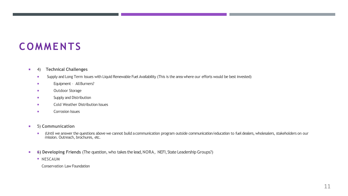# **COMMENTS**

#### 4) **Technical Challenges**

- **Supply and Long Term Issues with Liquid Renewable Fuel Availability (This is the area where our efforts would be best invested)**
- **Equipment All Burners?**
- **n** Outdoor Storage
- **Supply and Distribution**
- **Example 20 Cold Weather Distribution Issues**
- **Corrosion Issues**
- 5) **Communication**
	- (Until we answer the questions above we cannot build a communication program outside communication/education to fuel dealers, wholesalers, stakeholders on our mission. Outreach, brochures, etc.
- **6) Developing Friends** (The question, who takes the lead, NORA, NEFI, State Leadership Groups?)
	- **NESCAUM**

Conservation Law Foundation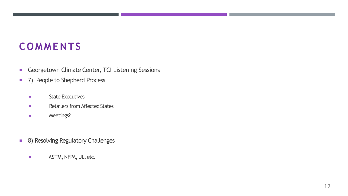# **COMMENTS**

- **Georgetown Climate Center, TCI Listening Sessions**
- 7) People to Shepherd Process
	- $\mathcal{L}_{\mathcal{A}}$ State Executives
	- $\mathcal{L}_{\rm{eff}}$ Retailers from Affected States
	- $\mathcal{L}_{\mathcal{A}}$ Meetings?
- **8) Resolving Regulatory Challenges** 
	- **ASTM, NFPA, UL, etc.**